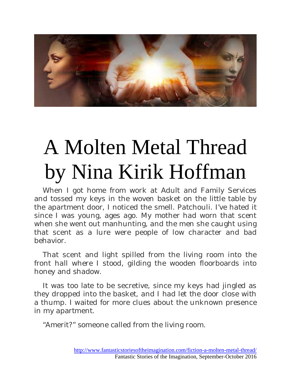

## A Molten Metal Thread by Nina Kirik Hoffman

When I got home from work at Adult and Family Services and tossed my keys in the woven basket on the little table by the apartment door, I noticed the smell. Patchouli. I've hated it since I was young, ages ago. My mother had worn that scent when she went out manhunting, and the men she caught using that scent as a lure were people of low character and bad behavior.

That scent and light spilled from the living room into the front hall where I stood, gilding the wooden floorboards into honey and shadow.

It was too late to be secretive, since my keys had jingled as they dropped into the basket, and I had let the door close with a thump. I waited for more clues about the unknown presence in my apartment.

"Amerit?" someone called from the living room.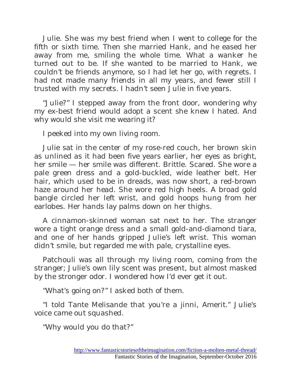Julie. She was my best friend when I went to college for the fifth or sixth time. Then she married Hank, and he eased her away from me, smiling the whole time. What a wanker he turned out to be. If she wanted to be married to Hank, we couldn't be friends anymore, so I had let her go, with regrets. I had not made many friends in all my years, and fewer still I trusted with my secrets. I hadn't seen Julie in five years.

"Julie?" I stepped away from the front door, wondering why my ex-best friend would adopt a scent she knew I hated. And why would she visit me wearing it?

I peeked into my own living room.

Julie sat in the center of my rose-red couch, her brown skin as unlined as it had been five years earlier, her eyes as bright, her smile — her smile was different. Brittle. Scared. She wore a pale green dress and a gold-buckled, wide leather belt. Her hair, which used to be in dreads, was now short, a red-brown haze around her head. She wore red high heels. A broad gold bangle circled her left wrist, and gold hoops hung from her earlobes. Her hands lay palms down on her thighs.

A cinnamon-skinned woman sat next to her. The stranger wore a tight orange dress and a small gold-and-diamond tiara, and one of her hands gripped Julie's left wrist. This woman didn't smile, but regarded me with pale, crystalline eyes.

Patchouli was all through my living room, coming from the stranger; Julie's own lily scent was present, but almost masked by the stronger odor. I wondered how I'd ever get it out.

"What's going on?" I asked both of them.

"I told Tante Melisande that you're a jinni, Amerit." Julie's voice came out squashed.

"Why would you do that?"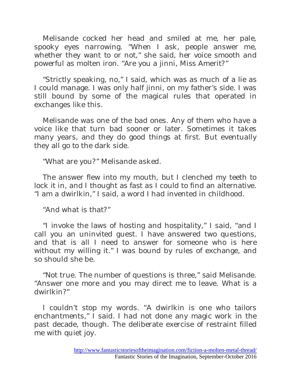Melisande cocked her head and smiled at me, her pale, spooky eyes narrowing. "When I ask, people answer me, whether they want to or not," she said, her voice smooth and powerful as molten iron. "Are you a jinni, Miss Amerit?"

"Strictly speaking, no," I said, which was as much of a lie as I could manage. I was only half jinni, on my father's side. I was still bound by some of the magical rules that operated in exchanges like this.

Melisande was one of the bad ones. Any of them who have a voice like that turn bad sooner or later. Sometimes it takes many years, and they do good things at first. But eventually they all go to the dark side.

"What are you?" Melisande asked.

The answer flew into my mouth, but I clenched my teeth to lock it in, and I thought as fast as I could to find an alternative. "I am a dwirlkin," I said, a word I had invented in childhood.

"And what is that?"

"I invoke the laws of hosting and hospitality," I said, "and I call you an uninvited guest. I have answered two questions, and that is all I need to answer for someone who is here without my willing it." I was bound by rules of exchange, and so should she be.

"Not true. The number of questions is three," said Melisande. "Answer one more and you may direct me to leave. What is a dwirlkin?"

I couldn't stop my words. "A dwirlkin is one who tailors enchantments," I said. I had not done any magic work in the past decade, though. The deliberate exercise of restraint filled me with quiet joy.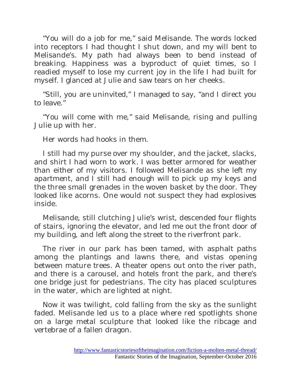"You will do a job for me," said Melisande. The words locked into receptors I had thought I shut down, and my will bent to Melisande's. My path had always been to bend instead of breaking. Happiness was a byproduct of quiet times, so I readied myself to lose my current joy in the life I had built for myself. I glanced at Julie and saw tears on her cheeks.

"Still, you are uninvited," I managed to say, "and I direct you to leave."

"You will come with me," said Melisande, rising and pulling Julie up with her.

Her words had hooks in them.

I still had my purse over my shoulder, and the jacket, slacks, and shirt I had worn to work. I was better armored for weather than either of my visitors. I followed Melisande as she left my apartment, and I still had enough will to pick up my keys and the three small grenades in the woven basket by the door. They looked like acorns. One would not suspect they had explosives inside.

Melisande, still clutching Julie's wrist, descended four flights of stairs, ignoring the elevator, and led me out the front door of my building, and left along the street to the riverfront park.

The river in our park has been tamed, with asphalt paths among the plantings and lawns there, and vistas opening between mature trees. A theater opens out onto the river path, and there is a carousel, and hotels front the park, and there's one bridge just for pedestrians. The city has placed sculptures in the water, which are lighted at night.

Now it was twilight, cold falling from the sky as the sunlight faded. Melisande led us to a place where red spotlights shone on a large metal sculpture that looked like the ribcage and vertebrae of a fallen dragon.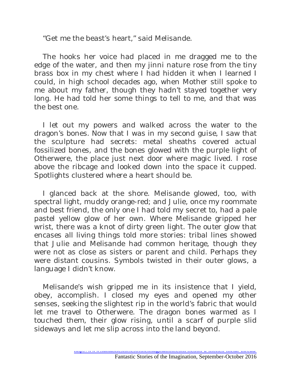"Get me the beast's heart," said Melisande.

The hooks her voice had placed in me dragged me to the edge of the water, and then my jinni nature rose from the tiny brass box in my chest where I had hidden it when I learned I could, in high school decades ago, when Mother still spoke to me about my father, though they hadn't stayed together very long. He had told her some things to tell to me, and that was the best one.

I let out my powers and walked across the water to the dragon's bones. Now that I was in my second guise, I saw that the sculpture had secrets: metal sheaths covered actual fossilized bones, and the bones glowed with the purple light of Otherwere, the place just next door where magic lived. I rose above the ribcage and looked down into the space it cupped. Spotlights clustered where a heart should be.

I glanced back at the shore. Melisande glowed, too, with spectral light, muddy orange-red; and Julie, once my roommate and best friend, the only one I had told my secret to, had a pale pastel yellow glow of her own. Where Melisande gripped her wrist, there was a knot of dirty green light. The outer glow that encases all living things told more stories: tribal lines showed that Julie and Melisande had common heritage, though they were not as close as sisters or parent and child. Perhaps they were distant cousins. Symbols twisted in their outer glows, a language I didn't know.

Melisande's wish gripped me in its insistence that I yield, obey, accomplish. I closed my eyes and opened my other senses, seeking the slightest rip in the world's fabric that would let me travel to Otherwere. The dragon bones warmed as I touched them, their glow rising, until a scarf of purple slid sideways and let me slip across into the land beyond.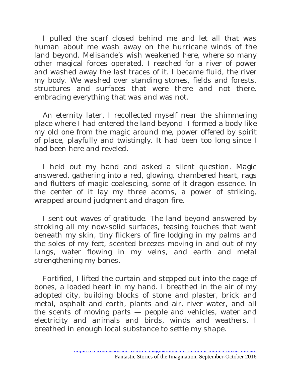I pulled the scarf closed behind me and let all that was human about me wash away on the hurricane winds of the land beyond. Melisande's wish weakened here, where so many other magical forces operated. I reached for a river of power and washed away the last traces of it. I became fluid, the river my body. We washed over standing stones, fields and forests, structures and surfaces that were there and not there, embracing everything that was and was not.

An eternity later, I recollected myself near the shimmering place where I had entered the land beyond. I formed a body like my old one from the magic around me, power offered by spirit of place, playfully and twistingly. It had been too long since I had been here and reveled.

I held out my hand and asked a silent question. Magic answered, gathering into a red, glowing, chambered heart, rags and flutters of magic coalescing, some of it dragon essence. In the center of it lay my three acorns, a power of striking, wrapped around judgment and dragon fire.

I sent out waves of gratitude. The land beyond answered by stroking all my now-solid surfaces, teasing touches that went beneath my skin, tiny flickers of fire lodging in my palms and the soles of my feet, scented breezes moving in and out of my lungs, water flowing in my veins, and earth and metal strengthening my bones.

Fortified, I lifted the curtain and stepped out into the cage of bones, a loaded heart in my hand. I breathed in the air of my adopted city, building blocks of stone and plaster, brick and metal, asphalt and earth, plants and air, river water, and all the scents of moving parts — people and vehicles, water and electricity and animals and birds, winds and weathers. I breathed in enough local substance to settle my shape.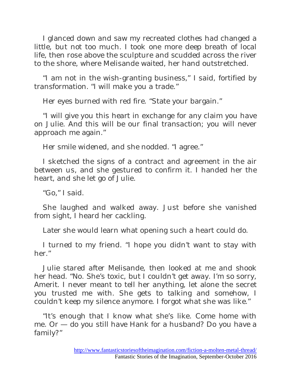I glanced down and saw my recreated clothes had changed a little, but not too much. I took one more deep breath of local life, then rose above the sculpture and scudded across the river to the shore, where Melisande waited, her hand outstretched.

"I am not in the wish-granting business," I said, fortified by transformation. "I will make you a trade."

Her eyes burned with red fire. "State your bargain."

"I will give you this heart in exchange for any claim you have on Julie. And this will be our final transaction; you will never approach me again."

Her smile widened, and she nodded. "I agree."

I sketched the signs of a contract and agreement in the air between us, and she gestured to confirm it. I handed her the heart, and she let go of Julie.

"Go," I said.

She laughed and walked away. Just before she vanished from sight, I heard her cackling.

Later she would learn what opening such a heart could do.

I turned to my friend. "I hope you didn't want to stay with her."

Julie stared after Melisande, then looked at me and shook her head. "No. She's toxic, but I couldn't get away. I'm so sorry, Amerit. I never meant to tell her anything, let alone the secret you trusted me with. She gets to talking and somehow, I couldn't keep my silence anymore. I forgot what she was like."

"It's enough that I know what she's like. Come home with me. Or — do you still have Hank for a husband? Do you have a family?"